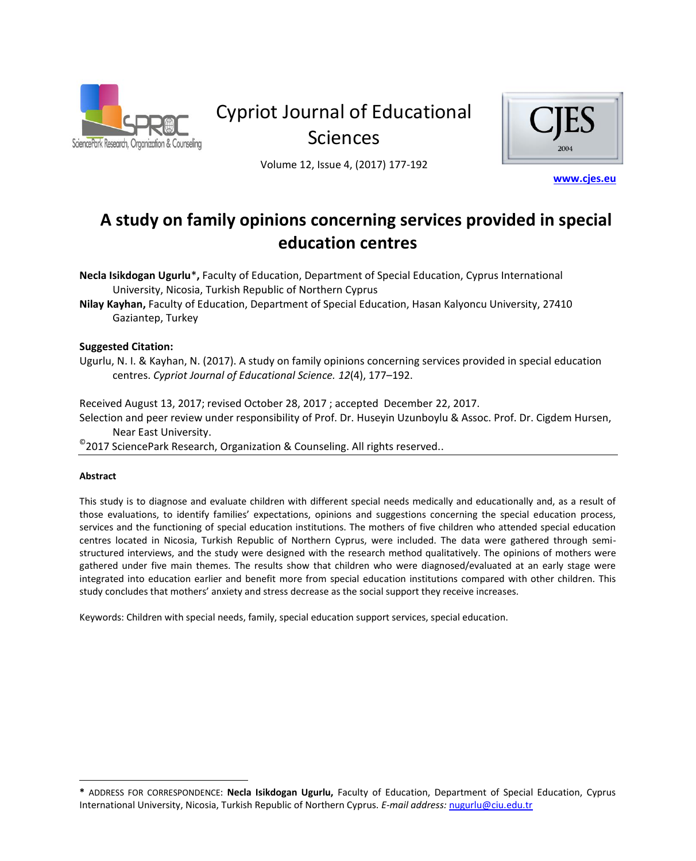

# Cypriot Journal of Educational Sciences



Volume 12, Issue 4, (2017) 177-192

**[www.cjes.eu](http://www.cjes.eu/)**

# **A study on family opinions concerning services provided in special education centres**

**Necla Isikdogan Ugurlu**\***,** Faculty of Education, Department of Special Education, Cyprus International University, Nicosia, Turkish Republic of Northern Cyprus

**Nilay Kayhan,** Faculty of Education, Department of Special Education, Hasan Kalyoncu University, 27410 Gaziantep, Turkey

#### **Suggested Citation:**

Ugurlu, N. I. & Kayhan, N. (2017). A study on family opinions concerning services provided in special education centres. *Cypriot Journal of Educational Science. 12*(4), 177–192.

Received August 13, 2017; revised October 28, 2017 ; accepted December 22, 2017. Selection and peer review under responsibility of Prof. Dr. Huseyin Uzunboylu & Assoc. Prof. Dr. Cigdem Hursen, Near East University.

 $^{\circ}$ 2017 SciencePark Research, Organization & Counseling. All rights reserved..

#### **Abstract**

 $\overline{a}$ 

This study is to diagnose and evaluate children with different special needs medically and educationally and, as a result of those evaluations, to identify families' expectations, opinions and suggestions concerning the special education process, services and the functioning of special education institutions. The mothers of five children who attended special education centres located in Nicosia, Turkish Republic of Northern Cyprus, were included. The data were gathered through semistructured interviews, and the study were designed with the research method qualitatively. The opinions of mothers were gathered under five main themes. The results show that children who were diagnosed/evaluated at an early stage were integrated into education earlier and benefit more from special education institutions compared with other children. This study concludes that mothers' anxiety and stress decrease as the social support they receive increases.

Keywords: Children with special needs, family, special education support services, special education.

**<sup>\*</sup>** ADDRESS FOR CORRESPONDENCE: **Necla Isikdogan Ugurlu,** Faculty of Education, Department of Special Education, Cyprus International University, Nicosia, Turkish Republic of Northern Cyprus. *E-mail address:* [nugurlu@ciu.edu.tr](mailto:nugurlu@ciu.edu.tr)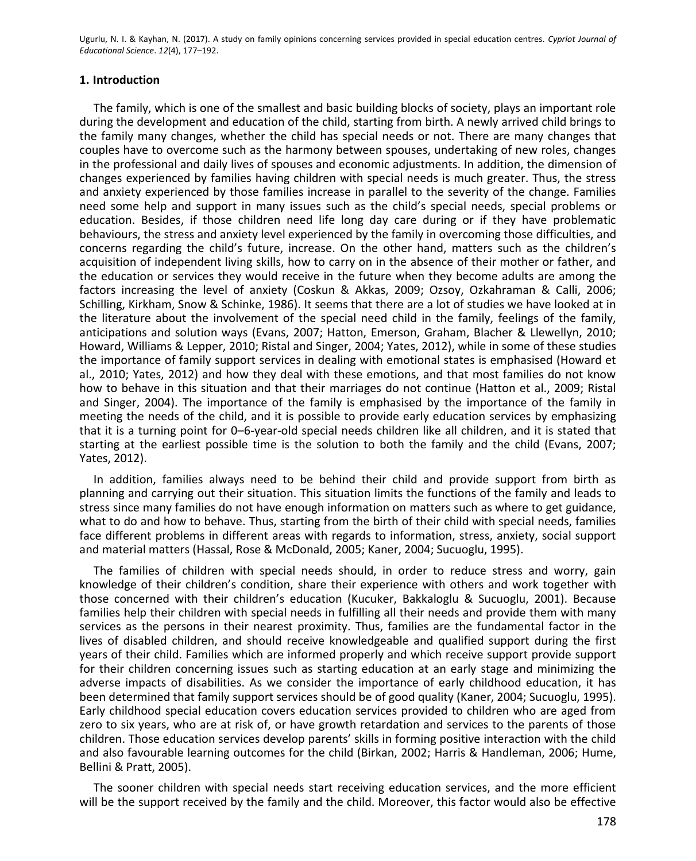#### **1. Introduction**

The family, which is one of the smallest and basic building blocks of society, plays an important role during the development and education of the child, starting from birth. A newly arrived child brings to the family many changes, whether the child has special needs or not. There are many changes that couples have to overcome such as the harmony between spouses, undertaking of new roles, changes in the professional and daily lives of spouses and economic adjustments. In addition, the dimension of changes experienced by families having children with special needs is much greater. Thus, the stress and anxiety experienced by those families increase in parallel to the severity of the change. Families need some help and support in many issues such as the child's special needs, special problems or education. Besides, if those children need life long day care during or if they have problematic behaviours, the stress and anxiety level experienced by the family in overcoming those difficulties, and concerns regarding the child's future, increase. On the other hand, matters such as the children's acquisition of independent living skills, how to carry on in the absence of their mother or father, and the education or services they would receive in the future when they become adults are among the factors increasing the level of anxiety (Coskun & Akkas, 2009; Ozsoy, Ozkahraman & Calli, 2006; Schilling, Kirkham, Snow & Schinke, 1986). It seems that there are a lot of studies we have looked at in the literature about the involvement of the special need child in the family, feelings of the family, anticipations and solution ways (Evans, 2007; Hatton, Emerson, Graham, Blacher & Llewellyn, 2010; Howard, Williams & Lepper, 2010; Ristal and Singer, 2004; Yates, 2012), while in some of these studies the importance of family support services in dealing with emotional states is emphasised (Howard et al., 2010; Yates, 2012) and how they deal with these emotions, and that most families do not know how to behave in this situation and that their marriages do not continue (Hatton et al., 2009; Ristal and Singer, 2004). The importance of the family is emphasised by the importance of the family in meeting the needs of the child, and it is possible to provide early education services by emphasizing that it is a turning point for 0–6-year-old special needs children like all children, and it is stated that starting at the earliest possible time is the solution to both the family and the child (Evans, 2007; Yates, 2012).

In addition, families always need to be behind their child and provide support from birth as planning and carrying out their situation. This situation limits the functions of the family and leads to stress since many families do not have enough information on matters such as where to get guidance, what to do and how to behave. Thus, starting from the birth of their child with special needs, families face different problems in different areas with regards to information, stress, anxiety, social support and material matters (Hassal, Rose & McDonald, 2005; Kaner, 2004; Sucuoglu, 1995).

The families of children with special needs should, in order to reduce stress and worry, gain knowledge of their children's condition, share their experience with others and work together with those concerned with their children's education (Kucuker, Bakkaloglu & Sucuoglu, 2001). Because families help their children with special needs in fulfilling all their needs and provide them with many services as the persons in their nearest proximity. Thus, families are the fundamental factor in the lives of disabled children, and should receive knowledgeable and qualified support during the first years of their child. Families which are informed properly and which receive support provide support for their children concerning issues such as starting education at an early stage and minimizing the adverse impacts of disabilities. As we consider the importance of early childhood education, it has been determined that family support services should be of good quality (Kaner, 2004; Sucuoglu, 1995). Early childhood special education covers education services provided to children who are aged from zero to six years, who are at risk of, or have growth retardation and services to the parents of those children. Those education services develop parents' skills in forming positive interaction with the child and also favourable learning outcomes for the child (Birkan, 2002; Harris & Handleman, 2006; Hume, Bellini & Pratt, 2005).

The sooner children with special needs start receiving education services, and the more efficient will be the support received by the family and the child. Moreover, this factor would also be effective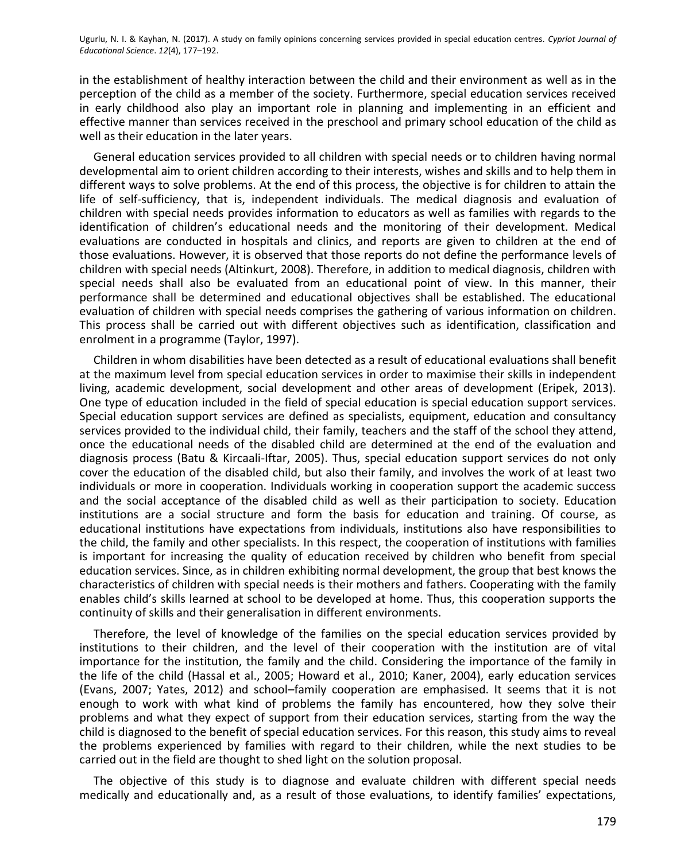in the establishment of healthy interaction between the child and their environment as well as in the perception of the child as a member of the society. Furthermore, special education services received in early childhood also play an important role in planning and implementing in an efficient and effective manner than services received in the preschool and primary school education of the child as well as their education in the later years.

General education services provided to all children with special needs or to children having normal developmental aim to orient children according to their interests, wishes and skills and to help them in different ways to solve problems. At the end of this process, the objective is for children to attain the life of self-sufficiency, that is, independent individuals. The medical diagnosis and evaluation of children with special needs provides information to educators as well as families with regards to the identification of children's educational needs and the monitoring of their development. Medical evaluations are conducted in hospitals and clinics, and reports are given to children at the end of those evaluations. However, it is observed that those reports do not define the performance levels of children with special needs (Altinkurt, 2008). Therefore, in addition to medical diagnosis, children with special needs shall also be evaluated from an educational point of view. In this manner, their performance shall be determined and educational objectives shall be established. The educational evaluation of children with special needs comprises the gathering of various information on children. This process shall be carried out with different objectives such as identification, classification and enrolment in a programme (Taylor, 1997).

Children in whom disabilities have been detected as a result of educational evaluations shall benefit at the maximum level from special education services in order to maximise their skills in independent living, academic development, social development and other areas of development (Eripek, 2013). One type of education included in the field of special education is special education support services. Special education support services are defined as specialists, equipment, education and consultancy services provided to the individual child, their family, teachers and the staff of the school they attend, once the educational needs of the disabled child are determined at the end of the evaluation and diagnosis process (Batu & Kircaali-Iftar, 2005). Thus, special education support services do not only cover the education of the disabled child, but also their family, and involves the work of at least two individuals or more in cooperation. Individuals working in cooperation support the academic success and the social acceptance of the disabled child as well as their participation to society. Education institutions are a social structure and form the basis for education and training. Of course, as educational institutions have expectations from individuals, institutions also have responsibilities to the child, the family and other specialists. In this respect, the cooperation of institutions with families is important for increasing the quality of education received by children who benefit from special education services. Since, as in children exhibiting normal development, the group that best knows the characteristics of children with special needs is their mothers and fathers. Cooperating with the family enables child's skills learned at school to be developed at home. Thus, this cooperation supports the continuity of skills and their generalisation in different environments.

Therefore, the level of knowledge of the families on the special education services provided by institutions to their children, and the level of their cooperation with the institution are of vital importance for the institution, the family and the child. Considering the importance of the family in the life of the child (Hassal et al., 2005; Howard et al., 2010; Kaner, 2004), early education services (Evans, 2007; Yates, 2012) and school–family cooperation are emphasised. It seems that it is not enough to work with what kind of problems the family has encountered, how they solve their problems and what they expect of support from their education services, starting from the way the child is diagnosed to the benefit of special education services. For this reason, this study aims to reveal the problems experienced by families with regard to their children, while the next studies to be carried out in the field are thought to shed light on the solution proposal.

The objective of this study is to diagnose and evaluate children with different special needs medically and educationally and, as a result of those evaluations, to identify families' expectations,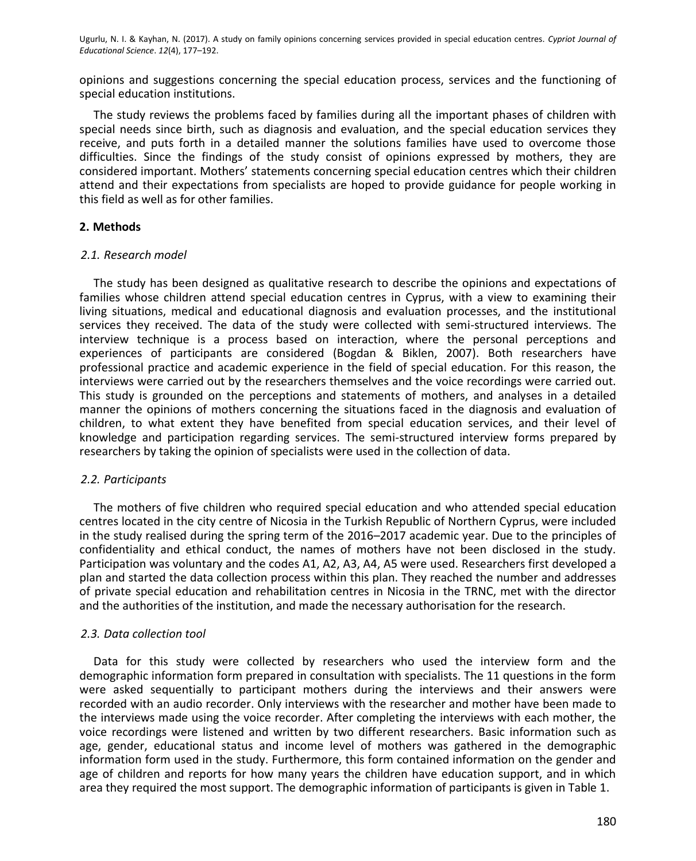opinions and suggestions concerning the special education process, services and the functioning of special education institutions.

The study reviews the problems faced by families during all the important phases of children with special needs since birth, such as diagnosis and evaluation, and the special education services they receive, and puts forth in a detailed manner the solutions families have used to overcome those difficulties. Since the findings of the study consist of opinions expressed by mothers, they are considered important. Mothers' statements concerning special education centres which their children attend and their expectations from specialists are hoped to provide guidance for people working in this field as well as for other families.

### **2. Methods**

#### *2.1. Research model*

The study has been designed as qualitative research to describe the opinions and expectations of families whose children attend special education centres in Cyprus, with a view to examining their living situations, medical and educational diagnosis and evaluation processes, and the institutional services they received. The data of the study were collected with semi-structured interviews. The interview technique is a process based on interaction, where the personal perceptions and experiences of participants are considered (Bogdan & Biklen, 2007). Both researchers have professional practice and academic experience in the field of special education. For this reason, the interviews were carried out by the researchers themselves and the voice recordings were carried out. This study is grounded on the perceptions and statements of mothers, and analyses in a detailed manner the opinions of mothers concerning the situations faced in the diagnosis and evaluation of children, to what extent they have benefited from special education services, and their level of knowledge and participation regarding services. The semi-structured interview forms prepared by researchers by taking the opinion of specialists were used in the collection of data.

# *2.2. Participants*

The mothers of five children who required special education and who attended special education centres located in the city centre of Nicosia in the Turkish Republic of Northern Cyprus, were included in the study realised during the spring term of the 2016–2017 academic year. Due to the principles of confidentiality and ethical conduct, the names of mothers have not been disclosed in the study. Participation was voluntary and the codes A1, A2, A3, A4, A5 were used. Researchers first developed a plan and started the data collection process within this plan. They reached the number and addresses of private special education and rehabilitation centres in Nicosia in the TRNC, met with the director and the authorities of the institution, and made the necessary authorisation for the research.

# *2.3. Data collection tool*

Data for this study were collected by researchers who used the interview form and the demographic information form prepared in consultation with specialists. The 11 questions in the form were asked sequentially to participant mothers during the interviews and their answers were recorded with an audio recorder. Only interviews with the researcher and mother have been made to the interviews made using the voice recorder. After completing the interviews with each mother, the voice recordings were listened and written by two different researchers. Basic information such as age, gender, educational status and income level of mothers was gathered in the demographic information form used in the study. Furthermore, this form contained information on the gender and age of children and reports for how many years the children have education support, and in which area they required the most support. The demographic information of participants is given in Table 1.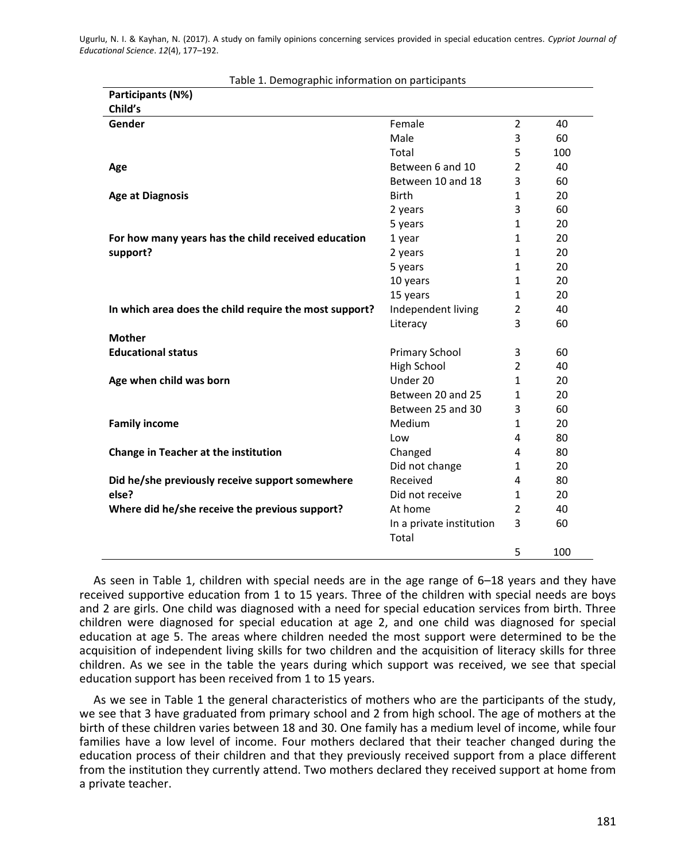| Table 1. Demographic implifiation on participants<br>Participants (N%) |                          |                |     |
|------------------------------------------------------------------------|--------------------------|----------------|-----|
| Child's                                                                |                          |                |     |
| Gender                                                                 | Female                   | $\overline{2}$ | 40  |
|                                                                        | Male                     | 3              | 60  |
|                                                                        | Total                    | 5              | 100 |
| Age                                                                    | Between 6 and 10         | $\overline{2}$ | 40  |
|                                                                        | Between 10 and 18        | 3              | 60  |
| <b>Age at Diagnosis</b>                                                | <b>Birth</b>             | $\mathbf{1}$   | 20  |
|                                                                        | 2 years                  | 3              | 60  |
|                                                                        | 5 years                  | $\mathbf{1}$   | 20  |
| For how many years has the child received education                    | 1 year                   | $\mathbf{1}$   | 20  |
| support?                                                               | 2 years                  | $\mathbf{1}$   | 20  |
|                                                                        | 5 years                  | $\mathbf{1}$   | 20  |
|                                                                        | 10 years                 | $\mathbf{1}$   | 20  |
|                                                                        | 15 years                 | $\mathbf{1}$   | 20  |
| In which area does the child require the most support?                 | Independent living       | $\overline{2}$ | 40  |
|                                                                        | Literacy                 | 3              | 60  |
| <b>Mother</b>                                                          |                          |                |     |
| <b>Educational status</b>                                              | Primary School           | 3              | 60  |
|                                                                        | High School              | $\overline{2}$ | 40  |
| Age when child was born                                                | Under 20                 | $\mathbf{1}$   | 20  |
|                                                                        | Between 20 and 25        | $\mathbf{1}$   | 20  |
|                                                                        | Between 25 and 30        | 3              | 60  |
| <b>Family income</b>                                                   | Medium                   | $\mathbf{1}$   | 20  |
|                                                                        | Low                      | 4              | 80  |
| <b>Change in Teacher at the institution</b>                            | Changed                  | 4              | 80  |
|                                                                        | Did not change           | $\mathbf{1}$   | 20  |
| Did he/she previously receive support somewhere                        | Received                 | 4              | 80  |
| else?                                                                  | Did not receive          | $\mathbf{1}$   | 20  |
| Where did he/she receive the previous support?                         | At home                  | $\overline{2}$ | 40  |
|                                                                        | In a private institution | 3              | 60  |
|                                                                        | Total                    |                |     |
|                                                                        |                          | 5              | 100 |

Table 1. Demographic information on participants

As seen in Table 1, children with special needs are in the age range of 6–18 years and they have received supportive education from 1 to 15 years. Three of the children with special needs are boys and 2 are girls. One child was diagnosed with a need for special education services from birth. Three children were diagnosed for special education at age 2, and one child was diagnosed for special education at age 5. The areas where children needed the most support were determined to be the acquisition of independent living skills for two children and the acquisition of literacy skills for three children. As we see in the table the years during which support was received, we see that special education support has been received from 1 to 15 years.

As we see in Table 1 the general characteristics of mothers who are the participants of the study, we see that 3 have graduated from primary school and 2 from high school. The age of mothers at the birth of these children varies between 18 and 30. One family has a medium level of income, while four families have a low level of income. Four mothers declared that their teacher changed during the education process of their children and that they previously received support from a place different from the institution they currently attend. Two mothers declared they received support at home from a private teacher.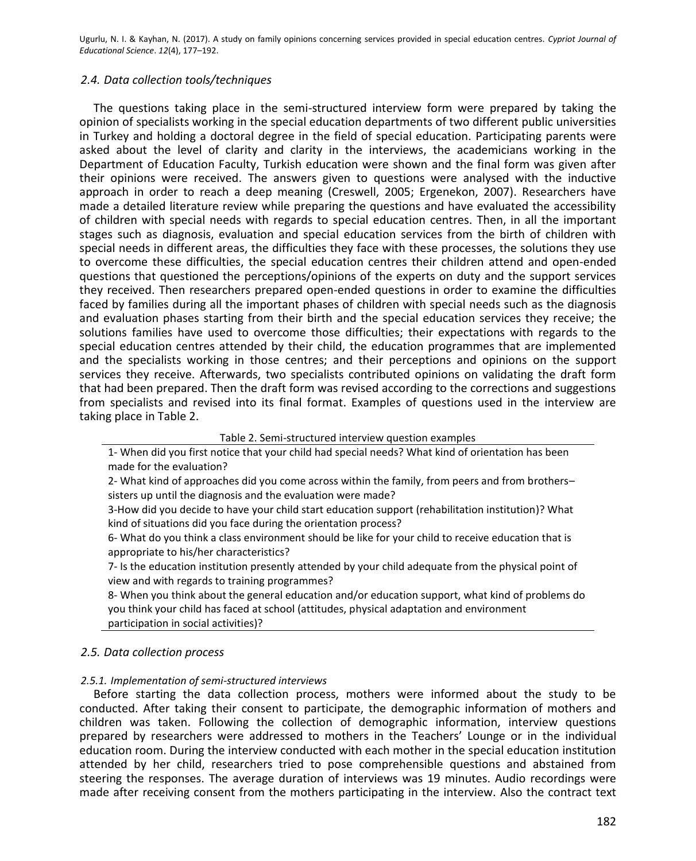#### *2.4. Data collection tools/techniques*

The questions taking place in the semi-structured interview form were prepared by taking the opinion of specialists working in the special education departments of two different public universities in Turkey and holding a doctoral degree in the field of special education. Participating parents were asked about the level of clarity and clarity in the interviews, the academicians working in the Department of Education Faculty, Turkish education were shown and the final form was given after their opinions were received. The answers given to questions were analysed with the inductive approach in order to reach a deep meaning (Creswell, 2005; Ergenekon, 2007). Researchers have made a detailed literature review while preparing the questions and have evaluated the accessibility of children with special needs with regards to special education centres. Then, in all the important stages such as diagnosis, evaluation and special education services from the birth of children with special needs in different areas, the difficulties they face with these processes, the solutions they use to overcome these difficulties, the special education centres their children attend and open-ended questions that questioned the perceptions/opinions of the experts on duty and the support services they received. Then researchers prepared open-ended questions in order to examine the difficulties faced by families during all the important phases of children with special needs such as the diagnosis and evaluation phases starting from their birth and the special education services they receive; the solutions families have used to overcome those difficulties; their expectations with regards to the special education centres attended by their child, the education programmes that are implemented and the specialists working in those centres; and their perceptions and opinions on the support services they receive. Afterwards, two specialists contributed opinions on validating the draft form that had been prepared. Then the draft form was revised according to the corrections and suggestions from specialists and revised into its final format. Examples of questions used in the interview are taking place in Table 2.

#### Table 2. Semi-structured interview question examples

1- When did you first notice that your child had special needs? What kind of orientation has been made for the evaluation?

2- What kind of approaches did you come across within the family, from peers and from brothers– sisters up until the diagnosis and the evaluation were made?

3-How did you decide to have your child start education support (rehabilitation institution)? What kind of situations did you face during the orientation process?

6- What do you think a class environment should be like for your child to receive education that is appropriate to his/her characteristics?

7- Is the education institution presently attended by your child adequate from the physical point of view and with regards to training programmes?

8- When you think about the general education and/or education support, what kind of problems do you think your child has faced at school (attitudes, physical adaptation and environment participation in social activities)?

# *2.5. Data collection process*

#### *2.5.1. Implementation of semi-structured interviews*

Before starting the data collection process, mothers were informed about the study to be conducted. After taking their consent to participate, the demographic information of mothers and children was taken. Following the collection of demographic information, interview questions prepared by researchers were addressed to mothers in the Teachers' Lounge or in the individual education room. During the interview conducted with each mother in the special education institution attended by her child, researchers tried to pose comprehensible questions and abstained from steering the responses. The average duration of interviews was 19 minutes. Audio recordings were made after receiving consent from the mothers participating in the interview. Also the contract text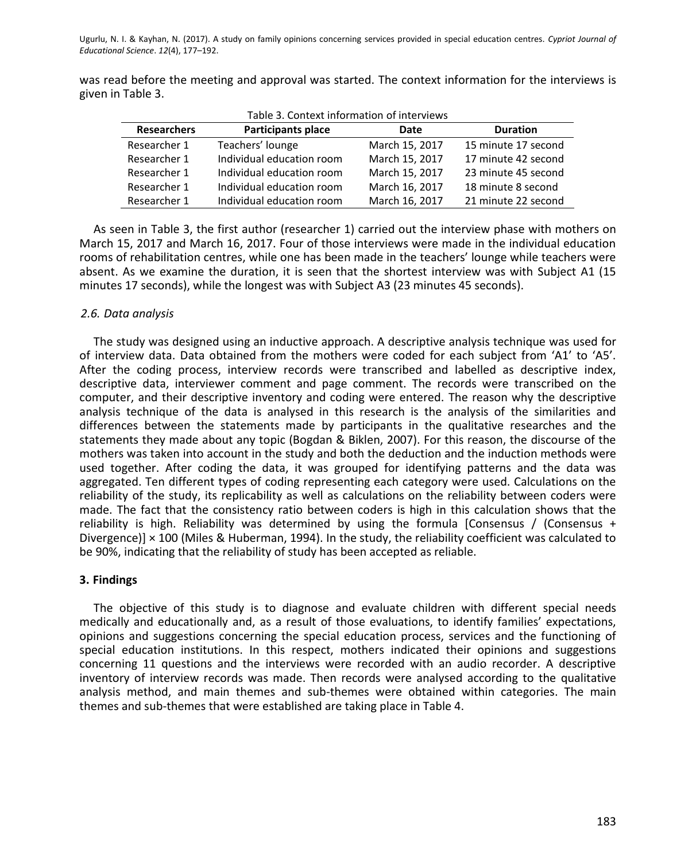was read before the meeting and approval was started. The context information for the interviews is given in Table 3.

| Table 3. Context information of interviews |                           |                |                     |  |  |
|--------------------------------------------|---------------------------|----------------|---------------------|--|--|
| <b>Researchers</b>                         | <b>Participants place</b> | Date           | <b>Duration</b>     |  |  |
| Researcher 1                               | Teachers' lounge          | March 15, 2017 | 15 minute 17 second |  |  |
| Researcher 1                               | Individual education room | March 15, 2017 | 17 minute 42 second |  |  |
| Researcher 1                               | Individual education room | March 15, 2017 | 23 minute 45 second |  |  |
| Researcher 1                               | Individual education room | March 16, 2017 | 18 minute 8 second  |  |  |
| Researcher 1                               | Individual education room | March 16, 2017 | 21 minute 22 second |  |  |

As seen in Table 3, the first author (researcher 1) carried out the interview phase with mothers on March 15, 2017 and March 16, 2017. Four of those interviews were made in the individual education rooms of rehabilitation centres, while one has been made in the teachers' lounge while teachers were absent. As we examine the duration, it is seen that the shortest interview was with Subject A1 (15 minutes 17 seconds), while the longest was with Subject A3 (23 minutes 45 seconds).

# *2.6. Data analysis*

The study was designed using an inductive approach. A descriptive analysis technique was used for of interview data. Data obtained from the mothers were coded for each subject from 'A1' to 'A5'. After the coding process, interview records were transcribed and labelled as descriptive index, descriptive data, interviewer comment and page comment. The records were transcribed on the computer, and their descriptive inventory and coding were entered. The reason why the descriptive analysis technique of the data is analysed in this research is the analysis of the similarities and differences between the statements made by participants in the qualitative researches and the statements they made about any topic (Bogdan & Biklen, 2007). For this reason, the discourse of the mothers was taken into account in the study and both the deduction and the induction methods were used together. After coding the data, it was grouped for identifying patterns and the data was aggregated. Ten different types of coding representing each category were used. Calculations on the reliability of the study, its replicability as well as calculations on the reliability between coders were made. The fact that the consistency ratio between coders is high in this calculation shows that the reliability is high. Reliability was determined by using the formula [Consensus / (Consensus + Divergence)] × 100 (Miles & Huberman, 1994). In the study, the reliability coefficient was calculated to be 90%, indicating that the reliability of study has been accepted as reliable.

# **3. Findings**

The objective of this study is to diagnose and evaluate children with different special needs medically and educationally and, as a result of those evaluations, to identify families' expectations, opinions and suggestions concerning the special education process, services and the functioning of special education institutions. In this respect, mothers indicated their opinions and suggestions concerning 11 questions and the interviews were recorded with an audio recorder. A descriptive inventory of interview records was made. Then records were analysed according to the qualitative analysis method, and main themes and sub-themes were obtained within categories. The main themes and sub-themes that were established are taking place in Table 4.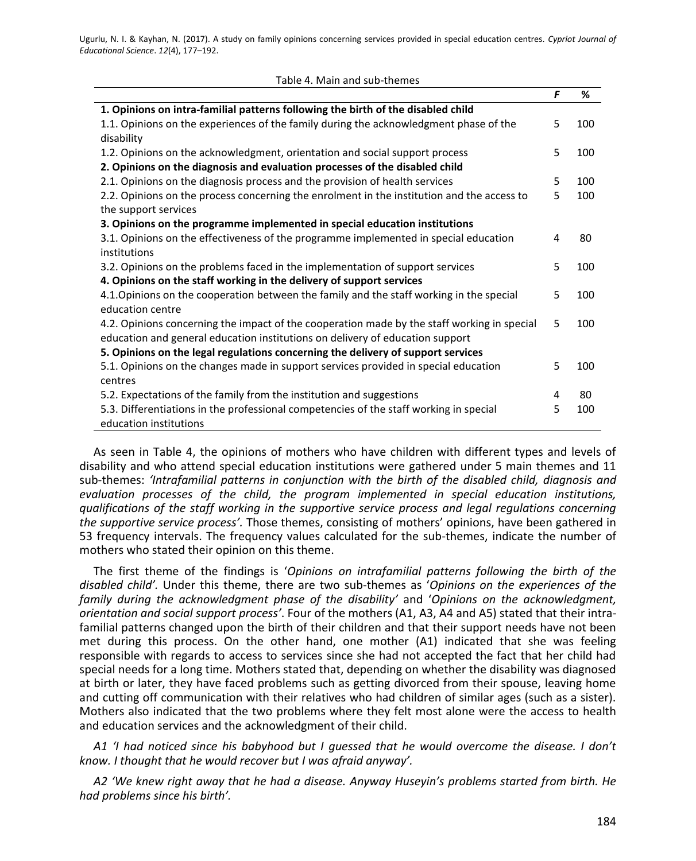| Table 4. Main and sub-themes |  |
|------------------------------|--|
|------------------------------|--|

|                                                                                             | F  | %   |
|---------------------------------------------------------------------------------------------|----|-----|
| 1. Opinions on intra-familial patterns following the birth of the disabled child            |    |     |
| 1.1. Opinions on the experiences of the family during the acknowledgment phase of the       | 5  | 100 |
| disability                                                                                  |    |     |
| 1.2. Opinions on the acknowledgment, orientation and social support process                 | 5  | 100 |
| 2. Opinions on the diagnosis and evaluation processes of the disabled child                 |    |     |
| 2.1. Opinions on the diagnosis process and the provision of health services                 | 5  | 100 |
| 2.2. Opinions on the process concerning the enrolment in the institution and the access to  | 5  | 100 |
| the support services                                                                        |    |     |
| 3. Opinions on the programme implemented in special education institutions                  |    |     |
| 3.1. Opinions on the effectiveness of the programme implemented in special education        | 4  | 80  |
| institutions                                                                                |    |     |
| 3.2. Opinions on the problems faced in the implementation of support services               | 5  | 100 |
| 4. Opinions on the staff working in the delivery of support services                        |    |     |
| 4.1. Opinions on the cooperation between the family and the staff working in the special    | 5  | 100 |
| education centre                                                                            |    |     |
| 4.2. Opinions concerning the impact of the cooperation made by the staff working in special | 5. | 100 |
| education and general education institutions on delivery of education support               |    |     |
| 5. Opinions on the legal regulations concerning the delivery of support services            |    |     |
| 5.1. Opinions on the changes made in support services provided in special education         | 5  | 100 |
| centres                                                                                     |    |     |
| 5.2. Expectations of the family from the institution and suggestions                        | 4  | 80  |
| 5.3. Differentiations in the professional competencies of the staff working in special      | 5  | 100 |
| education institutions                                                                      |    |     |

As seen in Table 4, the opinions of mothers who have children with different types and levels of disability and who attend special education institutions were gathered under 5 main themes and 11 sub-themes: *'Intrafamilial patterns in conjunction with the birth of the disabled child, diagnosis and evaluation processes of the child, the program implemented in special education institutions, qualifications of the staff working in the supportive service process and legal regulations concerning the supportive service process'.* Those themes, consisting of mothers' opinions, have been gathered in 53 frequency intervals. The frequency values calculated for the sub-themes, indicate the number of mothers who stated their opinion on this theme.

The first theme of the findings is '*Opinions on intrafamilial patterns following the birth of the disabled child'.* Under this theme, there are two sub-themes as '*Opinions on the experiences of the family during the acknowledgment phase of the disability'* and '*Opinions on the acknowledgment, orientation and social support process'*. Four of the mothers (A1, A3, A4 and A5) stated that their intrafamilial patterns changed upon the birth of their children and that their support needs have not been met during this process. On the other hand, one mother (A1) indicated that she was feeling responsible with regards to access to services since she had not accepted the fact that her child had special needs for a long time. Mothers stated that, depending on whether the disability was diagnosed at birth or later, they have faced problems such as getting divorced from their spouse, leaving home and cutting off communication with their relatives who had children of similar ages (such as a sister). Mothers also indicated that the two problems where they felt most alone were the access to health and education services and the acknowledgment of their child.

*A1 'I had noticed since his babyhood but I guessed that he would overcome the disease. I don't know. I thought that he would recover but I was afraid anyway'.*

*A2 'We knew right away that he had a disease. Anyway Huseyin's problems started from birth. He had problems since his birth'.*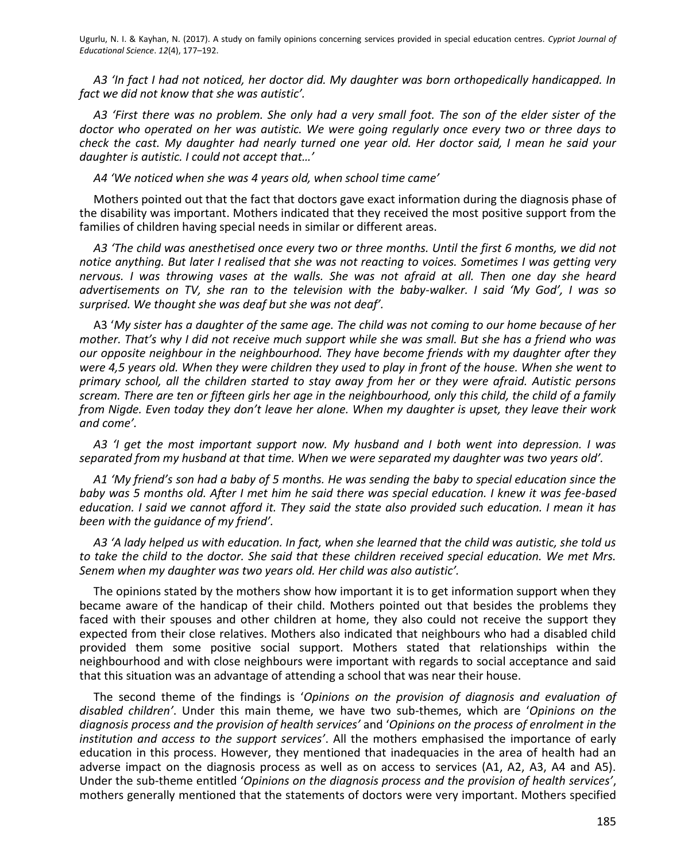*A3 'In fact I had not noticed, her doctor did. My daughter was born orthopedically handicapped. In fact we did not know that she was autistic'.*

*A3 'First there was no problem. She only had a very small foot. The son of the elder sister of the doctor who operated on her was autistic. We were going regularly once every two or three days to check the cast. My daughter had nearly turned one year old. Her doctor said, I mean he said your daughter is autistic. I could not accept that…'*

*A4 'We noticed when she was 4 years old, when school time came'*

Mothers pointed out that the fact that doctors gave exact information during the diagnosis phase of the disability was important. Mothers indicated that they received the most positive support from the families of children having special needs in similar or different areas.

*A3 'The child was anesthetised once every two or three months. Until the first 6 months, we did not notice anything. But later I realised that she was not reacting to voices. Sometimes I was getting very nervous. I was throwing vases at the walls. She was not afraid at all. Then one day she heard advertisements on TV, she ran to the television with the baby-walker. I said 'My God', I was so surprised. We thought she was deaf but she was not deaf'.*

A3 '*My sister has a daughter of the same age. The child was not coming to our home because of her mother. That's why I did not receive much support while she was small. But she has a friend who was our opposite neighbour in the neighbourhood. They have become friends with my daughter after they were 4,5 years old. When they were children they used to play in front of the house. When she went to primary school, all the children started to stay away from her or they were afraid. Autistic persons scream. There are ten or fifteen girls her age in the neighbourhood, only this child, the child of a family from Nigde. Even today they don't leave her alone. When my daughter is upset, they leave their work and come'.*

*A3 'I get the most important support now. My husband and I both went into depression. I was separated from my husband at that time. When we were separated my daughter was two years old'.*

*A1 'My friend's son had a baby of 5 months. He was sending the baby to special education since the baby was 5 months old. After I met him he said there was special education. I knew it was fee-based education. I said we cannot afford it. They said the state also provided such education. I mean it has been with the guidance of my friend'.*

*A3 'A lady helped us with education. In fact, when she learned that the child was autistic, she told us to take the child to the doctor. She said that these children received special education. We met Mrs. Senem when my daughter was two years old. Her child was also autistic'.*

The opinions stated by the mothers show how important it is to get information support when they became aware of the handicap of their child. Mothers pointed out that besides the problems they faced with their spouses and other children at home, they also could not receive the support they expected from their close relatives. Mothers also indicated that neighbours who had a disabled child provided them some positive social support. Mothers stated that relationships within the neighbourhood and with close neighbours were important with regards to social acceptance and said that this situation was an advantage of attending a school that was near their house.

The second theme of the findings is '*Opinions on the provision of diagnosis and evaluation of disabled children'*. Under this main theme, we have two sub-themes, which are '*Opinions on the diagnosis process and the provision of health services'* and '*Opinions on the process of enrolment in the institution and access to the support services'*. All the mothers emphasised the importance of early education in this process. However, they mentioned that inadequacies in the area of health had an adverse impact on the diagnosis process as well as on access to services (A1, A2, A3, A4 and A5). Under the sub-theme entitled '*Opinions on the diagnosis process and the provision of health services'*, mothers generally mentioned that the statements of doctors were very important. Mothers specified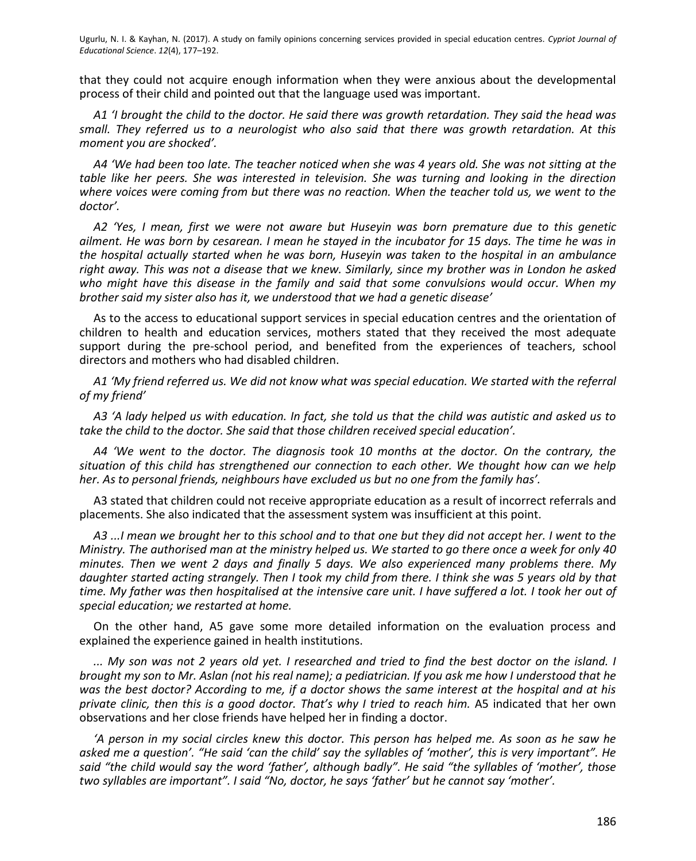that they could not acquire enough information when they were anxious about the developmental process of their child and pointed out that the language used was important.

*A1 'I brought the child to the doctor. He said there was growth retardation. They said the head was small. They referred us to a neurologist who also said that there was growth retardation. At this moment you are shocked'.*

*A4 'We had been too late. The teacher noticed when she was 4 years old. She was not sitting at the table like her peers. She was interested in television. She was turning and looking in the direction where voices were coming from but there was no reaction. When the teacher told us, we went to the doctor'.*

*A2 'Yes, I mean, first we were not aware but Huseyin was born premature due to this genetic ailment. He was born by cesarean. I mean he stayed in the incubator for 15 days. The time he was in the hospital actually started when he was born, Huseyin was taken to the hospital in an ambulance right away. This was not a disease that we knew. Similarly, since my brother was in London he asked who might have this disease in the family and said that some convulsions would occur. When my brother said my sister also has it, we understood that we had a genetic disease'*

As to the access to educational support services in special education centres and the orientation of children to health and education services, mothers stated that they received the most adequate support during the pre-school period, and benefited from the experiences of teachers, school directors and mothers who had disabled children.

*A1 'My friend referred us. We did not know what was special education. We started with the referral of my friend'*

*A3 'A lady helped us with education. In fact, she told us that the child was autistic and asked us to take the child to the doctor. She said that those children received special education'.*

*A4 'We went to the doctor. The diagnosis took 10 months at the doctor. On the contrary, the situation of this child has strengthened our connection to each other. We thought how can we help her. As to personal friends, neighbours have excluded us but no one from the family has'.* 

A3 stated that children could not receive appropriate education as a result of incorrect referrals and placements. She also indicated that the assessment system was insufficient at this point.

*A3 ...I mean we brought her to this school and to that one but they did not accept her. I went to the Ministry. The authorised man at the ministry helped us. We started to go there once a week for only 40 minutes. Then we went 2 days and finally 5 days. We also experienced many problems there. My daughter started acting strangely. Then I took my child from there. I think she was 5 years old by that time. My father was then hospitalised at the intensive care unit. I have suffered a lot. I took her out of special education; we restarted at home.*

On the other hand, A5 gave some more detailed information on the evaluation process and explained the experience gained in health institutions.

*... My son was not 2 years old yet. I researched and tried to find the best doctor on the island. I brought my son to Mr. Aslan (not his real name); a pediatrician. If you ask me how I understood that he was the best doctor? According to me, if a doctor shows the same interest at the hospital and at his private clinic, then this is a good doctor. That's why I tried to reach him.* A5 indicated that her own observations and her close friends have helped her in finding a doctor.

*'A person in my social circles knew this doctor. This person has helped me. As soon as he saw he asked me a question'. "He said 'can the child' say the syllables of 'mother', this is very important". He said "the child would say the word 'father', although badly". He said "the syllables of 'mother', those two syllables are important". I said "No, doctor, he says 'father' but he cannot say 'mother'.*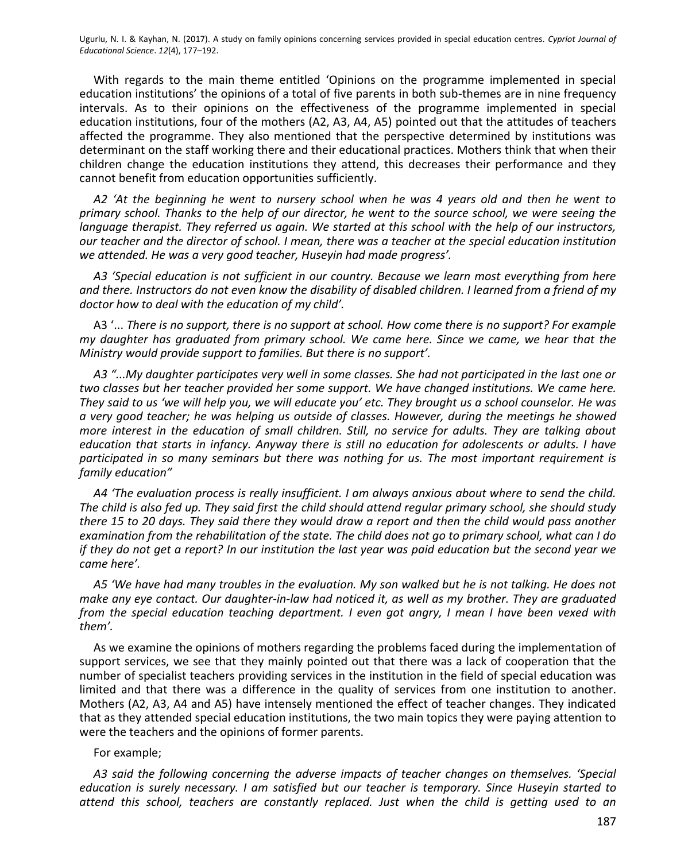With regards to the main theme entitled 'Opinions on the programme implemented in special education institutions' the opinions of a total of five parents in both sub-themes are in nine frequency intervals. As to their opinions on the effectiveness of the programme implemented in special education institutions, four of the mothers (A2, A3, A4, A5) pointed out that the attitudes of teachers affected the programme. They also mentioned that the perspective determined by institutions was determinant on the staff working there and their educational practices. Mothers think that when their children change the education institutions they attend, this decreases their performance and they cannot benefit from education opportunities sufficiently.

*A2 'At the beginning he went to nursery school when he was 4 years old and then he went to primary school. Thanks to the help of our director, he went to the source school, we were seeing the language therapist. They referred us again. We started at this school with the help of our instructors, our teacher and the director of school. I mean, there was a teacher at the special education institution we attended. He was a very good teacher, Huseyin had made progress'.*

*A3 'Special education is not sufficient in our country. Because we learn most everything from here and there. Instructors do not even know the disability of disabled children. I learned from a friend of my doctor how to deal with the education of my child'.*

A3 '... *There is no support, there is no support at school. How come there is no support? For example my daughter has graduated from primary school. We came here. Since we came, we hear that the Ministry would provide support to families. But there is no support'.*

*A3 "...My daughter participates very well in some classes. She had not participated in the last one or two classes but her teacher provided her some support. We have changed institutions. We came here. They said to us 'we will help you, we will educate you' etc. They brought us a school counselor. He was a very good teacher; he was helping us outside of classes. However, during the meetings he showed more interest in the education of small children. Still, no service for adults. They are talking about education that starts in infancy. Anyway there is still no education for adolescents or adults. I have participated in so many seminars but there was nothing for us. The most important requirement is family education"*

*A4 'The evaluation process is really insufficient. I am always anxious about where to send the child. The child is also fed up. They said first the child should attend regular primary school, she should study there 15 to 20 days. They said there they would draw a report and then the child would pass another examination from the rehabilitation of the state. The child does not go to primary school, what can I do if they do not get a report? In our institution the last year was paid education but the second year we came here'.*

*A5 'We have had many troubles in the evaluation. My son walked but he is not talking. He does not make any eye contact. Our daughter-in-law had noticed it, as well as my brother. They are graduated from the special education teaching department. I even got angry, I mean I have been vexed with them'.*

As we examine the opinions of mothers regarding the problems faced during the implementation of support services, we see that they mainly pointed out that there was a lack of cooperation that the number of specialist teachers providing services in the institution in the field of special education was limited and that there was a difference in the quality of services from one institution to another. Mothers (A2, A3, A4 and A5) have intensely mentioned the effect of teacher changes. They indicated that as they attended special education institutions, the two main topics they were paying attention to were the teachers and the opinions of former parents.

#### For example;

*A3 said the following concerning the adverse impacts of teacher changes on themselves. 'Special education is surely necessary. I am satisfied but our teacher is temporary. Since Huseyin started to attend this school, teachers are constantly replaced. Just when the child is getting used to an*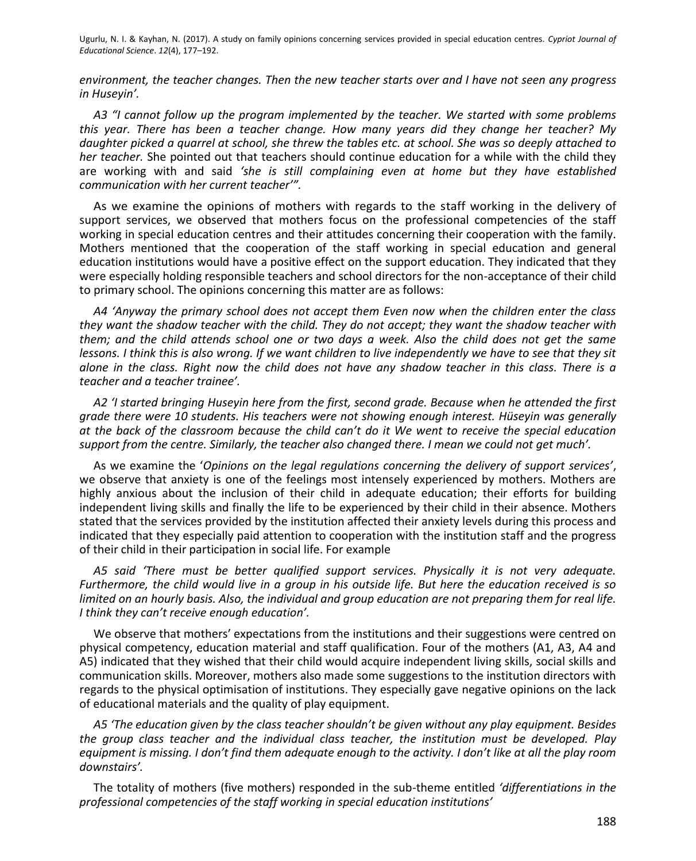*environment, the teacher changes. Then the new teacher starts over and I have not seen any progress in Huseyin'.*

*A3 "I cannot follow up the program implemented by the teacher. We started with some problems this year. There has been a teacher change. How many years did they change her teacher? My daughter picked a quarrel at school, she threw the tables etc. at school. She was so deeply attached to her teacher.* She pointed out that teachers should continue education for a while with the child they are working with and said *'she is still complaining even at home but they have established communication with her current teacher'".* 

As we examine the opinions of mothers with regards to the staff working in the delivery of support services, we observed that mothers focus on the professional competencies of the staff working in special education centres and their attitudes concerning their cooperation with the family. Mothers mentioned that the cooperation of the staff working in special education and general education institutions would have a positive effect on the support education. They indicated that they were especially holding responsible teachers and school directors for the non-acceptance of their child to primary school. The opinions concerning this matter are as follows:

*A4 'Anyway the primary school does not accept them Even now when the children enter the class they want the shadow teacher with the child. They do not accept; they want the shadow teacher with them; and the child attends school one or two days a week. Also the child does not get the same lessons. I think this is also wrong. If we want children to live independently we have to see that they sit alone in the class. Right now the child does not have any shadow teacher in this class. There is a teacher and a teacher trainee'.*

*A2 'I started bringing Huseyin here from the first, second grade. Because when he attended the first grade there were 10 students. His teachers were not showing enough interest. Hüseyin was generally at the back of the classroom because the child can't do it We went to receive the special education support from the centre. Similarly, the teacher also changed there. I mean we could not get much'.*

As we examine the '*Opinions on the legal regulations concerning the delivery of support services'*, we observe that anxiety is one of the feelings most intensely experienced by mothers. Mothers are highly anxious about the inclusion of their child in adequate education; their efforts for building independent living skills and finally the life to be experienced by their child in their absence. Mothers stated that the services provided by the institution affected their anxiety levels during this process and indicated that they especially paid attention to cooperation with the institution staff and the progress of their child in their participation in social life. For example

*A5 said 'There must be better qualified support services. Physically it is not very adequate. Furthermore, the child would live in a group in his outside life. But here the education received is so limited on an hourly basis. Also, the individual and group education are not preparing them for real life. I think they can't receive enough education'.*

We observe that mothers' expectations from the institutions and their suggestions were centred on physical competency, education material and staff qualification. Four of the mothers (A1, A3, A4 and A5) indicated that they wished that their child would acquire independent living skills, social skills and communication skills. Moreover, mothers also made some suggestions to the institution directors with regards to the physical optimisation of institutions. They especially gave negative opinions on the lack of educational materials and the quality of play equipment.

*A5 'The education given by the class teacher shouldn't be given without any play equipment. Besides the group class teacher and the individual class teacher, the institution must be developed. Play equipment is missing. I don't find them adequate enough to the activity. I don't like at all the play room downstairs'.*

The totality of mothers (five mothers) responded in the sub-theme entitled *'differentiations in the professional competencies of the staff working in special education institutions'*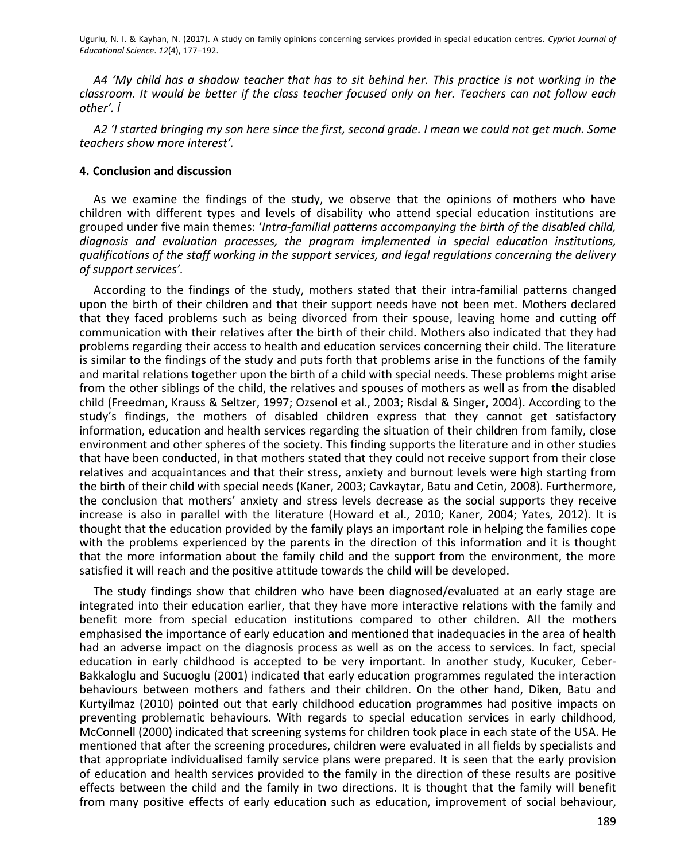*A4 'My child has a shadow teacher that has to sit behind her. This practice is not working in the classroom. It would be better if the class teacher focused only on her. Teachers can not follow each other'. İ*

*A2 'I started bringing my son here since the first, second grade. I mean we could not get much. Some teachers show more interest'.*

#### **4. Conclusion and discussion**

As we examine the findings of the study, we observe that the opinions of mothers who have children with different types and levels of disability who attend special education institutions are grouped under five main themes: '*Intra-familial patterns accompanying the birth of the disabled child, diagnosis and evaluation processes, the program implemented in special education institutions, qualifications of the staff working in the support services, and legal regulations concerning the delivery of support services'.*

According to the findings of the study, mothers stated that their intra-familial patterns changed upon the birth of their children and that their support needs have not been met. Mothers declared that they faced problems such as being divorced from their spouse, leaving home and cutting off communication with their relatives after the birth of their child. Mothers also indicated that they had problems regarding their access to health and education services concerning their child. The literature is similar to the findings of the study and puts forth that problems arise in the functions of the family and marital relations together upon the birth of a child with special needs. These problems might arise from the other siblings of the child, the relatives and spouses of mothers as well as from the disabled child (Freedman, Krauss & Seltzer, 1997; Ozsenol et al., 2003; Risdal & Singer, 2004). According to the study's findings, the mothers of disabled children express that they cannot get satisfactory information, education and health services regarding the situation of their children from family, close environment and other spheres of the society. This finding supports the literature and in other studies that have been conducted, in that mothers stated that they could not receive support from their close relatives and acquaintances and that their stress, anxiety and burnout levels were high starting from the birth of their child with special needs (Kaner, 2003; Cavkaytar, Batu and Cetin, 2008). Furthermore, the conclusion that mothers' anxiety and stress levels decrease as the social supports they receive increase is also in parallel with the literature (Howard et al., 2010; Kaner, 2004; Yates, 2012)*.* It is thought that the education provided by the family plays an important role in helping the families cope with the problems experienced by the parents in the direction of this information and it is thought that the more information about the family child and the support from the environment, the more satisfied it will reach and the positive attitude towards the child will be developed.

The study findings show that children who have been diagnosed/evaluated at an early stage are integrated into their education earlier, that they have more interactive relations with the family and benefit more from special education institutions compared to other children. All the mothers emphasised the importance of early education and mentioned that inadequacies in the area of health had an adverse impact on the diagnosis process as well as on the access to services. In fact, special education in early childhood is accepted to be very important. In another study, Kucuker, Ceber-Bakkaloglu and Sucuoglu (2001) indicated that early education programmes regulated the interaction behaviours between mothers and fathers and their children. On the other hand, Diken, Batu and Kurtyilmaz (2010) pointed out that early childhood education programmes had positive impacts on preventing problematic behaviours. With regards to special education services in early childhood, McConnell (2000) indicated that screening systems for children took place in each state of the USA. He mentioned that after the screening procedures, children were evaluated in all fields by specialists and that appropriate individualised family service plans were prepared. It is seen that the early provision of education and health services provided to the family in the direction of these results are positive effects between the child and the family in two directions. It is thought that the family will benefit from many positive effects of early education such as education, improvement of social behaviour,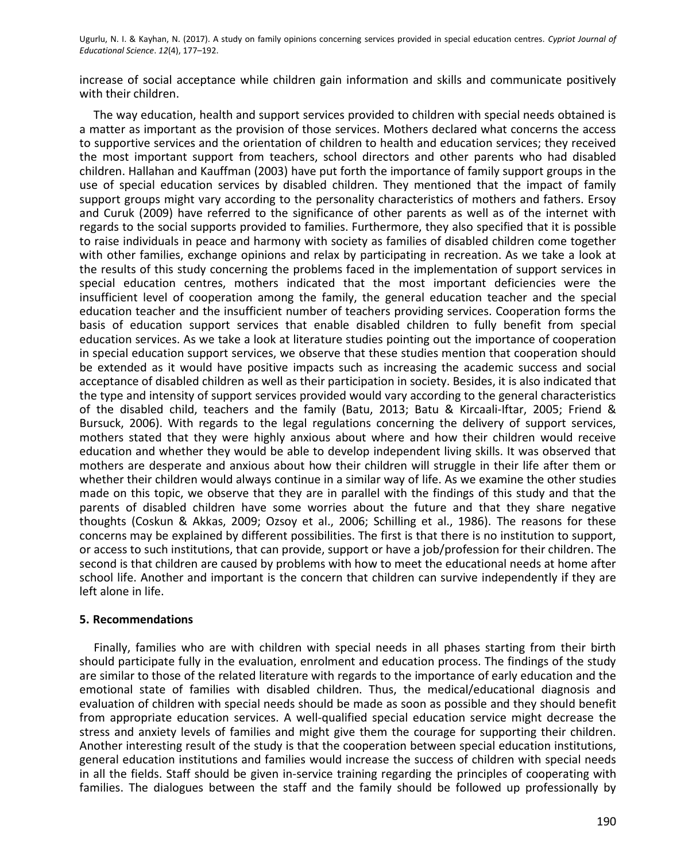increase of social acceptance while children gain information and skills and communicate positively with their children.

The way education, health and support services provided to children with special needs obtained is a matter as important as the provision of those services. Mothers declared what concerns the access to supportive services and the orientation of children to health and education services; they received the most important support from teachers, school directors and other parents who had disabled children. Hallahan and Kauffman (2003) have put forth the importance of family support groups in the use of special education services by disabled children. They mentioned that the impact of family support groups might vary according to the personality characteristics of mothers and fathers. Ersoy and Curuk (2009) have referred to the significance of other parents as well as of the internet with regards to the social supports provided to families. Furthermore, they also specified that it is possible to raise individuals in peace and harmony with society as families of disabled children come together with other families, exchange opinions and relax by participating in recreation. As we take a look at the results of this study concerning the problems faced in the implementation of support services in special education centres, mothers indicated that the most important deficiencies were the insufficient level of cooperation among the family, the general education teacher and the special education teacher and the insufficient number of teachers providing services. Cooperation forms the basis of education support services that enable disabled children to fully benefit from special education services. As we take a look at literature studies pointing out the importance of cooperation in special education support services, we observe that these studies mention that cooperation should be extended as it would have positive impacts such as increasing the academic success and social acceptance of disabled children as well as their participation in society. Besides, it is also indicated that the type and intensity of support services provided would vary according to the general characteristics of the disabled child, teachers and the family (Batu, 2013; Batu & Kircaali-Iftar, 2005; Friend & Bursuck, 2006). With regards to the legal regulations concerning the delivery of support services, mothers stated that they were highly anxious about where and how their children would receive education and whether they would be able to develop independent living skills. It was observed that mothers are desperate and anxious about how their children will struggle in their life after them or whether their children would always continue in a similar way of life. As we examine the other studies made on this topic, we observe that they are in parallel with the findings of this study and that the parents of disabled children have some worries about the future and that they share negative thoughts (Coskun & Akkas, 2009; Ozsoy et al., 2006; Schilling et al., 1986). The reasons for these concerns may be explained by different possibilities. The first is that there is no institution to support, or access to such institutions, that can provide, support or have a job/profession for their children. The second is that children are caused by problems with how to meet the educational needs at home after school life. Another and important is the concern that children can survive independently if they are left alone in life.

#### **5. Recommendations**

Finally, families who are with children with special needs in all phases starting from their birth should participate fully in the evaluation, enrolment and education process. The findings of the study are similar to those of the related literature with regards to the importance of early education and the emotional state of families with disabled children. Thus, the medical/educational diagnosis and evaluation of children with special needs should be made as soon as possible and they should benefit from appropriate education services. A well-qualified special education service might decrease the stress and anxiety levels of families and might give them the courage for supporting their children. Another interesting result of the study is that the cooperation between special education institutions, general education institutions and families would increase the success of children with special needs in all the fields. Staff should be given in-service training regarding the principles of cooperating with families. The dialogues between the staff and the family should be followed up professionally by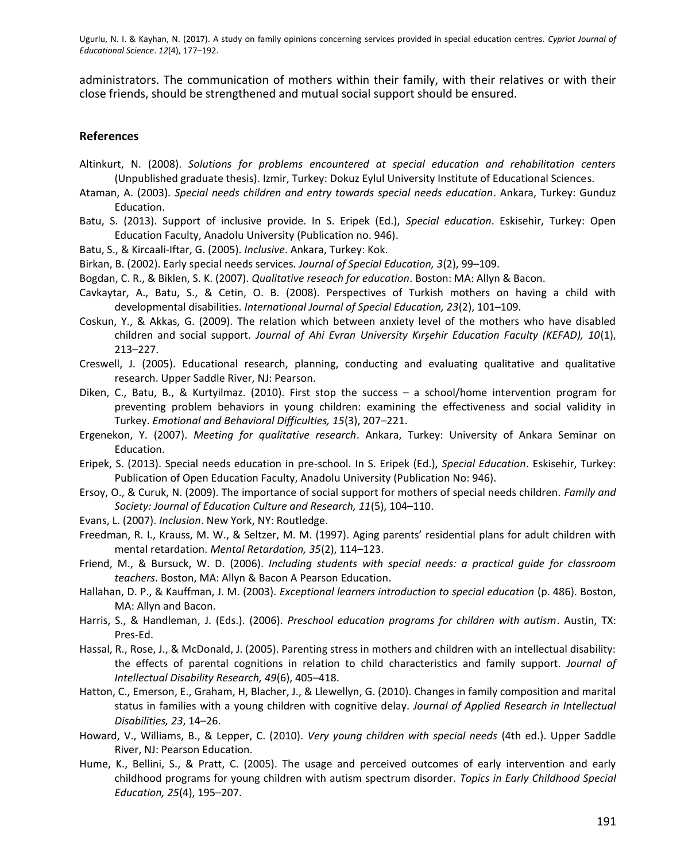administrators. The communication of mothers within their family, with their relatives or with their close friends, should be strengthened and mutual social support should be ensured.

#### **References**

- Altinkurt, N. (2008). *Solutions for problems encountered at special education and rehabilitation centers*  (Unpublished graduate thesis). Izmir, Turkey: Dokuz Eylul University Institute of Educational Sciences.
- Ataman, A. (2003). *Special needs children and entry towards special needs education*. Ankara, Turkey: Gunduz Education.
- Batu, S. (2013). Support of inclusive provide. In S. Eripek (Ed.), *Special education*. Eskisehir, Turkey: Open Education Faculty, Anadolu University (Publication no. 946).
- Batu, S., & Kircaali-Iftar, G. (2005). *Inclusive*. Ankara, Turkey: Kok.
- Birkan, B. (2002). Early special needs services. *Journal of Special Education, 3*(2), 99–109.
- Bogdan, C. R., & Biklen, S. K. (2007). *Qualitative reseach for education*. Boston: MA: Allyn & Bacon.
- Cavkaytar, A., Batu, S., & Cetin, O. B. (2008). Perspectives of Turkish mothers on having a child with developmental disabilities. *International Journal of Special Education, 23*(2), 101–109.
- Coskun, Y., & Akkas, G. (2009). The relation which between anxiety level of the mothers who have disabled children and social support. *Journal of Ahi Evran University Kırşehir Education Faculty (KEFAD), 10*(1), 213–227.
- Creswell, J. (2005). Educational research, planning, conducting and evaluating qualitative and qualitative research. Upper Saddle River, NJ: Pearson.
- Diken, C., Batu, B., & Kurtyilmaz. (2010). First stop the success a school/home intervention program for preventing problem behaviors in young children: examining the effectiveness and social validity in Turkey. *Emotional and Behavioral Difficulties, 15*(3), 207–221.
- Ergenekon, Y. (2007). *Meeting for qualitative research*. Ankara, Turkey: University of Ankara Seminar on Education.
- Eripek, S. (2013). Special needs education in pre-school. In S. Eripek (Ed.), *Special Education*. Eskisehir, Turkey: Publication of Open Education Faculty, Anadolu University (Publication No: 946).
- Ersoy, O., & Curuk, N. (2009). The importance of social support for mothers of special needs children. *Family and Society: Journal of Education Culture and Research, 11*(5), 104–110.
- Evans, L. (2007). *Inclusion*. New York, NY: Routledge.
- Freedman, R. I., Krauss, M. W., & Seltzer, M. M. (1997). Aging parents' residential plans for adult children with mental retardation. *Mental Retardation, 35*(2), 114–123.
- Friend, M., & Bursuck, W. D. (2006). *Including students with special needs: a practical guide for classroom teachers*. Boston, MA: Allyn & Bacon A Pearson Education.
- Hallahan, D. P., & Kauffman, J. M. (2003). *Exceptional learners introduction to special education* (p. 486). Boston, MA: Allyn and Bacon.
- Harris, S., & Handleman, J. (Eds.). (2006). *Preschool education programs for children with autism*. Austin, TX: Pres-Ed.
- Hassal, R., Rose, J., & McDonald, J. (2005). Parenting stress in mothers and children with an intellectual disability: the effects of parental cognitions in relation to child characteristics and family support. *Journal of Intellectual Disability Research, 49*(6), 405–418.
- Hatton, C., Emerson, E., Graham, H, Blacher, J., & Llewellyn, G. (2010). Changes in family composition and marital status in families with a young children with cognitive delay. *Journal of Applied Research in Intellectual Disabilities, 23*, 14–26.
- Howard, V., Williams, B., & Lepper, C. (2010). *Very young children with special needs* (4th ed.). Upper Saddle River, NJ: Pearson Education.
- Hume, K., Bellini, S., & Pratt, C. (2005). The usage and perceived outcomes of early intervention and early childhood programs for young children with autism spectrum disorder. *Topics in Early Childhood Special Education, 25*(4), 195–207.